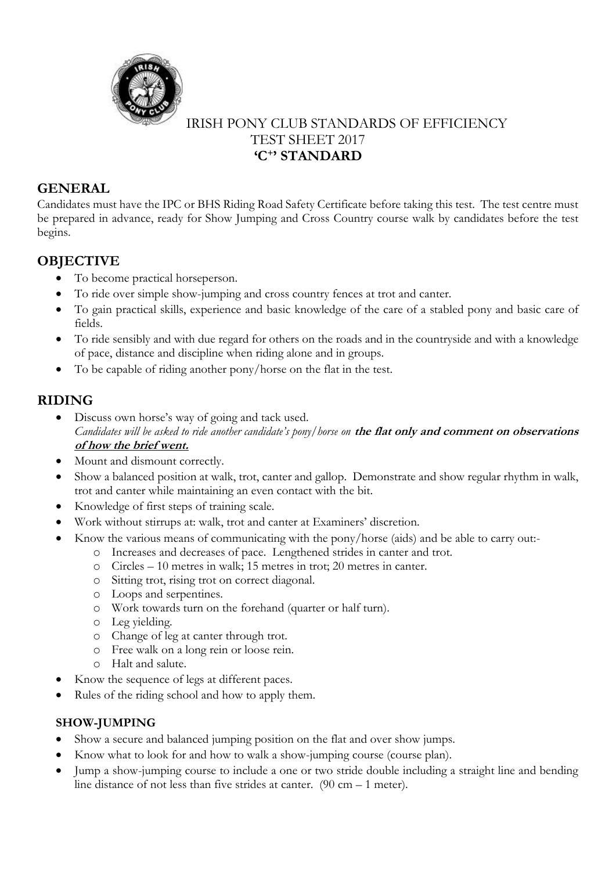

## IRISH PONY CLUB STANDARDS OF EFFICIENCY TEST SHEET 2017 **'C<sup>+</sup> ' STANDARD**

### **GENERAL**

Candidates must have the IPC or BHS Riding Road Safety Certificate before taking this test. The test centre must be prepared in advance, ready for Show Jumping and Cross Country course walk by candidates before the test begins.

# **OBJECTIVE**

- To become practical horseperson.
- To ride over simple show-jumping and cross country fences at trot and canter.
- To gain practical skills, experience and basic knowledge of the care of a stabled pony and basic care of fields.
- To ride sensibly and with due regard for others on the roads and in the countryside and with a knowledge of pace, distance and discipline when riding alone and in groups.
- To be capable of riding another pony/horse on the flat in the test.

## **RIDING**

- Discuss own horse's way of going and tack used. *Candidates will be asked to ride another candidate's pony/horse on* **the flat only and comment on observations of how the brief went.**
- Mount and dismount correctly.
- Show a balanced position at walk, trot, canter and gallop. Demonstrate and show regular rhythm in walk, trot and canter while maintaining an even contact with the bit.
- Knowledge of first steps of training scale.
- Work without stirrups at: walk, trot and canter at Examiners' discretion.
- Know the various means of communicating with the pony/horse (aids) and be able to carry out:
	- o Increases and decreases of pace. Lengthened strides in canter and trot.
	- o Circles 10 metres in walk; 15 metres in trot; 20 metres in canter.
	- o Sitting trot, rising trot on correct diagonal.
	- o Loops and serpentines.
	- o Work towards turn on the forehand (quarter or half turn).
	- o Leg yielding.
	- o Change of leg at canter through trot.
	- o Free walk on a long rein or loose rein.
	- o Halt and salute.
- Know the sequence of legs at different paces.
- Rules of the riding school and how to apply them.

### **SHOW-JUMPING**

- Show a secure and balanced jumping position on the flat and over show jumps.
- Know what to look for and how to walk a show-jumping course (course plan).
- Jump a show-jumping course to include a one or two stride double including a straight line and bending line distance of not less than five strides at canter. (90 cm – 1 meter).